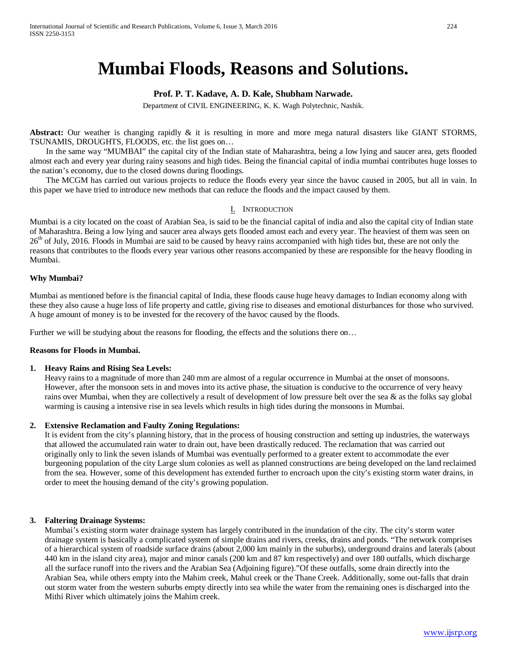# **Mumbai Floods, Reasons and Solutions.**

# **Prof. P. T. Kadave, A. D. Kale, Shubham Narwade.**

Department of CIVIL ENGINEERING, K. K. Wagh Polytechnic, Nashik.

**Abstract:** Our weather is changing rapidly & it is resulting in more and more mega natural disasters like GIANT STORMS, TSUNAMIS, DROUGHTS, FLOODS, etc. the list goes on…

 In the same way "MUMBAI" the capital city of the Indian state of Maharashtra, being a low lying and saucer area, gets flooded almost each and every year during rainy seasons and high tides. Being the financial capital of india mumbai contributes huge losses to the nation's economy, due to the closed downs during floodings.

 The MCGM has carried out various projects to reduce the floods every year since the havoc caused in 2005, but all in vain. In this paper we have tried to introduce new methods that can reduce the floods and the impact caused by them.

# I. INTRODUCTION

Mumbai is a city located on the coast of Arabian Sea, is said to be the financial capital of india and also the capital city of Indian state of Maharashtra. Being a low lying and saucer area always gets flooded amost each and every year. The heaviest of them was seen on 26<sup>th</sup> of July, 2016. Floods in Mumbai are said to be caused by heavy rains accompanied with high tides but, these are not only the reasons that contributes to the floods every year various other reasons accompanied by these are responsible for the heavy flooding in Mumbai.

# **Why Mumbai?**

Mumbai as mentioned before is the financial capital of India, these floods cause huge heavy damages to Indian economy along with these they also cause a huge loss of life property and cattle, giving rise to diseases and emotional disturbances for those who survived. A huge amount of money is to be invested for the recovery of the havoc caused by the floods.

Further we will be studying about the reasons for flooding, the effects and the solutions there on...

# **Reasons for Floods in Mumbai.**

#### **1. Heavy Rains and Rising Sea Levels:**

Heavy rains to a magnitude of more than 240 mm are almost of a regular occurrence in Mumbai at the onset of monsoons. However, after the monsoon sets in and moves into its active phase, the situation is conducive to the occurrence of very heavy rains over Mumbai, when they are collectively a result of development of low pressure belt over the sea & as the folks say global warming is causing a intensive rise in sea levels which results in high tides during the monsoons in Mumbai.

# **2. Extensive Reclamation and Faulty Zoning Regulations:**

It is evident from the city's planning history, that in the process of housing construction and setting up industries, the waterways that allowed the accumulated rain water to drain out, have been drastically reduced. The reclamation that was carried out originally only to link the seven islands of Mumbai was eventually performed to a greater extent to accommodate the ever burgeoning population of the city Large slum colonies as well as planned constructions are being developed on the land reclaimed from the sea. However, some of this development has extended further to encroach upon the city's existing storm water drains, in order to meet the housing demand of the city's growing population.

# **3. Faltering Drainage Systems:**

Mumbai's existing storm water drainage system has largely contributed in the inundation of the city. The city's storm water drainage system is basically a complicated system of simple drains and rivers, creeks, drains and ponds. "The network comprises of a hierarchical system of roadside surface drains (about 2,000 km mainly in the suburbs), underground drains and laterals (about 440 km in the island city area), major and minor canals (200 km and 87 km respectively) and over 180 outfalls, which discharge all the surface runoff into the rivers and the Arabian Sea (Adjoining figure)."Of these outfalls, some drain directly into the Arabian Sea, while others empty into the Mahim creek, Mahul creek or the Thane Creek. Additionally, some out-falls that drain out storm water from the western suburbs empty directly into sea while the water from the remaining ones is discharged into the Mithi River which ultimately joins the Mahim creek.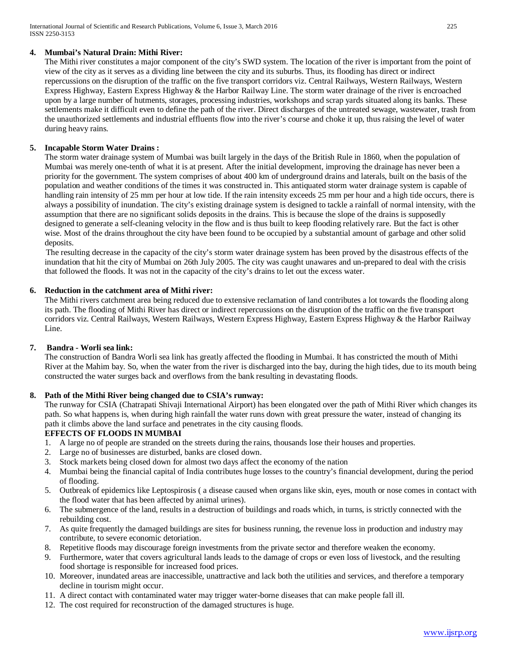# **4. Mumbai's Natural Drain: Mithi River:**

The Mithi river constitutes a major component of the city's SWD system. The location of the river is important from the point of view of the city as it serves as a dividing line between the city and its suburbs. Thus, its flooding has direct or indirect repercussions on the disruption of the traffic on the five transport corridors viz. Central Railways, Western Railways, Western Express Highway, Eastern Express Highway & the Harbor Railway Line. The storm water drainage of the river is encroached upon by a large number of hutments, storages, processing industries, workshops and scrap yards situated along its banks. These settlements make it difficult even to define the path of the river. Direct discharges of the untreated sewage, wastewater, trash from the unauthorized settlements and industrial effluents flow into the river's course and choke it up, thus raising the level of water during heavy rains.

# **5. Incapable Storm Water Drains :**

The storm water drainage system of Mumbai was built largely in the days of the British Rule in 1860, when the population of Mumbai was merely one-tenth of what it is at present. After the initial development, improving the drainage has never been a priority for the government. The system comprises of about 400 km of underground drains and laterals, built on the basis of the population and weather conditions of the times it was constructed in. This antiquated storm water drainage system is capable of handling rain intensity of 25 mm per hour at low tide. If the rain intensity exceeds 25 mm per hour and a high tide occurs, there is always a possibility of inundation. The city's existing drainage system is designed to tackle a rainfall of normal intensity, with the assumption that there are no significant solids deposits in the drains. This is because the slope of the drains is supposedly designed to generate a self-cleaning velocity in the flow and is thus built to keep flooding relatively rare. But the fact is other wise. Most of the drains throughout the city have been found to be occupied by a substantial amount of garbage and other solid deposits.

The resulting decrease in the capacity of the city's storm water drainage system has been proved by the disastrous effects of the inundation that hit the city of Mumbai on 26th July 2005. The city was caught unawares and un-prepared to deal with the crisis that followed the floods. It was not in the capacity of the city's drains to let out the excess water.

# **6. Reduction in the catchment area of Mithi river:**

The Mithi rivers catchment area being reduced due to extensive reclamation of land contributes a lot towards the flooding along its path. The flooding of Mithi River has direct or indirect repercussions on the disruption of the traffic on the five transport corridors viz. Central Railways, Western Railways, Western Express Highway, Eastern Express Highway & the Harbor Railway Line.

# **7. Bandra - Worli sea link:**

The construction of Bandra Worli sea link has greatly affected the flooding in Mumbai. It has constricted the mouth of Mithi River at the Mahim bay. So, when the water from the river is discharged into the bay, during the high tides, due to its mouth being constructed the water surges back and overflows from the bank resulting in devastating floods.

# **8. Path of the Mithi River being changed due to CSIA's runway:**

The runway for CSIA (Chatrapati Shivaji International Airport) has been elongated over the path of Mithi River which changes its path. So what happens is, when during high rainfall the water runs down with great pressure the water, instead of changing its path it climbs above the land surface and penetrates in the city causing floods.

# **EFFECTS OF FLOODS IN MUMBAI**

- 1. A large no of people are stranded on the streets during the rains, thousands lose their houses and properties.
- 2. Large no of businesses are disturbed, banks are closed down.
- 3. Stock markets being closed down for almost two days affect the economy of the nation
- 4. Mumbai being the financial capital of India contributes huge losses to the country's financial development, during the period of flooding.
- 5. Outbreak of epidemics like Leptospirosis ( a disease caused when organs like skin, eyes, mouth or nose comes in contact with the flood water that has been affected by animal urines).
- 6. The submergence of the land, results in a destruction of buildings and roads which, in turns, is strictly connected with the rebuilding cost.
- 7. As quite frequently the damaged buildings are sites for business running, the revenue loss in production and industry may contribute, to severe economic detoriation.
- 8. Repetitive floods may discourage foreign investments from the private sector and therefore weaken the economy.
- 9. Furthermore, water that covers agricultural lands leads to the damage of crops or even loss of livestock, and the resulting food shortage is responsible for increased food prices.
- 10. Moreover, inundated areas are inaccessible, unattractive and lack both the utilities and services, and therefore a temporary decline in tourism might occur.
- 11. A direct contact with contaminated water may trigger water-borne diseases that can make people fall ill.
- 12. The cost required for reconstruction of the damaged structures is huge.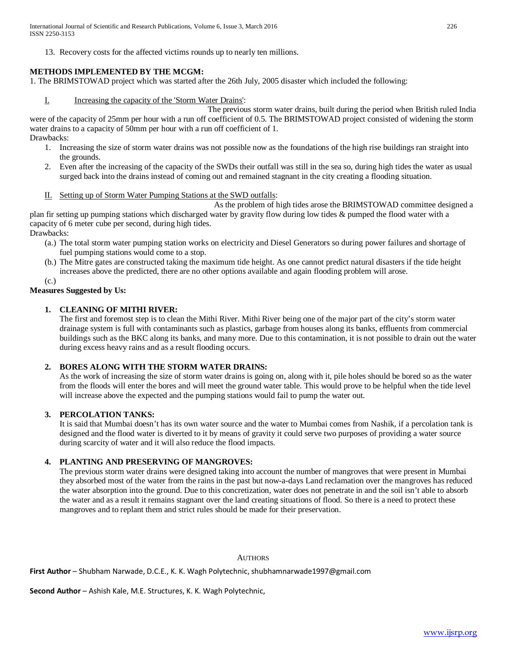International Journal of Scientific and Research Publications, Volume 6, Issue 3, March 2016 226 ISSN 2250-3153

13. Recovery costs for the affected victims rounds up to nearly ten millions.

## **METHODS IMPLEMENTED BY THE MCGM:**

1. The BRIMSTOWAD project which was started after the 26th July, 2005 disaster which included the following:

I. Increasing the capacity of the 'Storm Water Drains':

 The previous storm water drains, built during the period when British ruled India were of the capacity of 25mm per hour with a run off coefficient of 0.5. The BRIMSTOWAD project consisted of widening the storm water drains to a capacity of 50mm per hour with a run off coefficient of 1. Drawbacks:

- 1. Increasing the size of storm water drains was not possible now as the foundations of the high rise buildings ran straight into the grounds.
- 2. Even after the increasing of the capacity of the SWDs their outfall was still in the sea so, during high tides the water as usual surged back into the drains instead of coming out and remained stagnant in the city creating a flooding situation.
- II. Setting up of Storm Water Pumping Stations at the SWD outfalls:

 As the problem of high tides arose the BRIMSTOWAD committee designed a plan fir setting up pumping stations which discharged water by gravity flow during low tides & pumped the flood water with a capacity of 6 meter cube per second, during high tides.

Drawbacks:

- (a.) The total storm water pumping station works on electricity and Diesel Generators so during power failures and shortage of fuel pumping stations would come to a stop.
- (b.) The Mitre gates are constructed taking the maximum tide height. As one cannot predict natural disasters if the tide height increases above the predicted, there are no other options available and again flooding problem will arose.

(c.)

# **Measures Suggested by Us:**

#### **1. CLEANING OF MITHI RIVER:**

The first and foremost step is to clean the Mithi River. Mithi River being one of the major part of the city's storm water drainage system is full with contaminants such as plastics, garbage from houses along its banks, effluents from commercial buildings such as the BKC along its banks, and many more. Due to this contamination, it is not possible to drain out the water during excess heavy rains and as a result flooding occurs.

# **2. BORES ALONG WITH THE STORM WATER DRAINS:**

As the work of increasing the size of storm water drains is going on, along with it, pile holes should be bored so as the water from the floods will enter the bores and will meet the ground water table. This would prove to be helpful when the tide level will increase above the expected and the pumping stations would fail to pump the water out.

# **3. PERCOLATION TANKS:**

It is said that Mumbai doesn't has its own water source and the water to Mumbai comes from Nashik, if a percolation tank is designed and the flood water is diverted to it by means of gravity it could serve two purposes of providing a water source during scarcity of water and it will also reduce the flood impacts.

#### **4. PLANTING AND PRESERVING OF MANGROVES:**

The previous storm water drains were designed taking into account the number of mangroves that were present in Mumbai they absorbed most of the water from the rains in the past but now-a-days Land reclamation over the mangroves has reduced the water absorption into the ground. Due to this concretization, water does not penetrate in and the soil isn't able to absorb the water and as a result it remains stagnant over the land creating situations of flood. So there is a need to protect these mangroves and to replant them and strict rules should be made for their preservation.

#### **AUTHORS**

**First Author** – Shubham Narwade, D.C.E., K. K. Wagh Polytechnic, shubhamnarwade1997@gmail.com

**Second Author** – Ashish Kale, M.E. Structures, K. K. Wagh Polytechnic,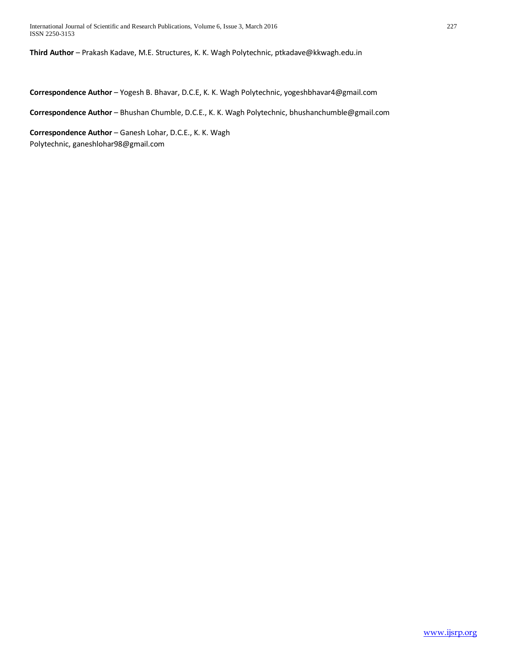**Third Author** – Prakash Kadave, M.E. Structures, K. K. Wagh Polytechnic, ptkadave@kkwagh.edu.in

**Correspondence Author** – Yogesh B. Bhavar, D.C.E, K. K. Wagh Polytechnic, yogeshbhavar4@gmail.com

Correspondence Author - Bhushan Chumble, D.C.E., K. K. Wagh Polytechnic, bhushanchumble@gmail.com

**Correspondence Author** – Ganesh Lohar, D.C.E., K. K. Wagh Polytechnic, ganeshlohar98@gmail.com